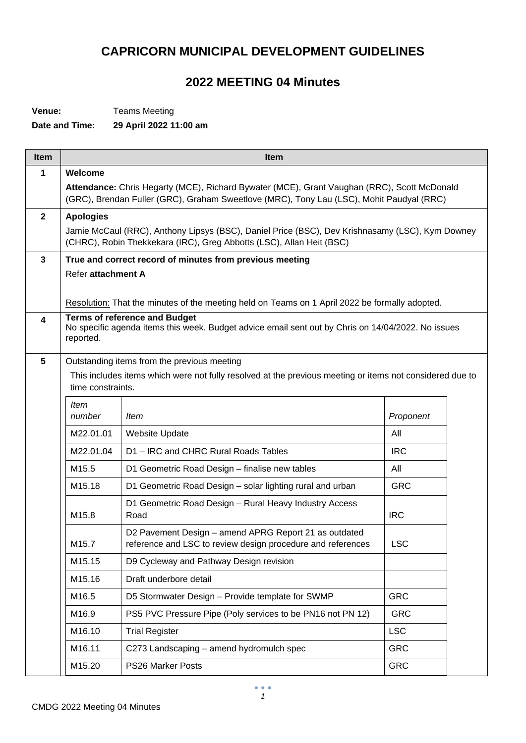## **CAPRICORN MUNICIPAL DEVELOPMENT GUIDELINES**

## **2022 MEETING 04 Minutes**

**Venue:** Teams Meeting

**Date and Time: 29 April 2022 11:00 am**

| <b>Item</b>  | Item                                                                                                                                                                                    |                                                                                                                                                                         |            |  |  |  |
|--------------|-----------------------------------------------------------------------------------------------------------------------------------------------------------------------------------------|-------------------------------------------------------------------------------------------------------------------------------------------------------------------------|------------|--|--|--|
| 1            | Welcome                                                                                                                                                                                 |                                                                                                                                                                         |            |  |  |  |
|              | Attendance: Chris Hegarty (MCE), Richard Bywater (MCE), Grant Vaughan (RRC), Scott McDonald<br>(GRC), Brendan Fuller (GRC), Graham Sweetlove (MRC), Tony Lau (LSC), Mohit Paudyal (RRC) |                                                                                                                                                                         |            |  |  |  |
| $\mathbf{2}$ | <b>Apologies</b>                                                                                                                                                                        |                                                                                                                                                                         |            |  |  |  |
|              |                                                                                                                                                                                         | Jamie McCaul (RRC), Anthony Lipsys (BSC), Daniel Price (BSC), Dev Krishnasamy (LSC), Kym Downey<br>(CHRC), Robin Thekkekara (IRC), Greg Abbotts (LSC), Allan Heit (BSC) |            |  |  |  |
| 3            |                                                                                                                                                                                         | True and correct record of minutes from previous meeting                                                                                                                |            |  |  |  |
|              | Refer attachment A                                                                                                                                                                      |                                                                                                                                                                         |            |  |  |  |
|              |                                                                                                                                                                                         | Resolution: That the minutes of the meeting held on Teams on 1 April 2022 be formally adopted.                                                                          |            |  |  |  |
| 4            |                                                                                                                                                                                         | <b>Terms of reference and Budget</b>                                                                                                                                    |            |  |  |  |
|              | reported.                                                                                                                                                                               | No specific agenda items this week. Budget advice email sent out by Chris on 14/04/2022. No issues                                                                      |            |  |  |  |
| 5            |                                                                                                                                                                                         | Outstanding items from the previous meeting                                                                                                                             |            |  |  |  |
|              |                                                                                                                                                                                         | This includes items which were not fully resolved at the previous meeting or items not considered due to                                                                |            |  |  |  |
|              | time constraints.                                                                                                                                                                       |                                                                                                                                                                         |            |  |  |  |
|              | <b>Item</b><br>number                                                                                                                                                                   | Item                                                                                                                                                                    | Proponent  |  |  |  |
|              | M22.01.01                                                                                                                                                                               | <b>Website Update</b>                                                                                                                                                   | All        |  |  |  |
|              | M22.01.04                                                                                                                                                                               | D1-IRC and CHRC Rural Roads Tables                                                                                                                                      | <b>IRC</b> |  |  |  |
|              | M15.5                                                                                                                                                                                   | D1 Geometric Road Design - finalise new tables                                                                                                                          | All        |  |  |  |
|              | M15.18                                                                                                                                                                                  | D1 Geometric Road Design - solar lighting rural and urban                                                                                                               | <b>GRC</b> |  |  |  |
|              | M15.8                                                                                                                                                                                   | D1 Geometric Road Design - Rural Heavy Industry Access<br>Road                                                                                                          | <b>IRC</b> |  |  |  |
|              | M15.7                                                                                                                                                                                   | D2 Pavement Design - amend APRG Report 21 as outdated<br>reference and LSC to review design procedure and references                                                    | <b>LSC</b> |  |  |  |
|              | M15.15                                                                                                                                                                                  | D9 Cycleway and Pathway Design revision                                                                                                                                 |            |  |  |  |
|              | M15.16                                                                                                                                                                                  | Draft underbore detail                                                                                                                                                  |            |  |  |  |
|              | M16.5                                                                                                                                                                                   | D5 Stormwater Design - Provide template for SWMP                                                                                                                        | <b>GRC</b> |  |  |  |
|              | M16.9                                                                                                                                                                                   | PS5 PVC Pressure Pipe (Poly services to be PN16 not PN 12)                                                                                                              | <b>GRC</b> |  |  |  |
|              | M16.10                                                                                                                                                                                  | <b>Trial Register</b>                                                                                                                                                   | <b>LSC</b> |  |  |  |
|              | M16.11                                                                                                                                                                                  | C273 Landscaping - amend hydromulch spec                                                                                                                                | <b>GRC</b> |  |  |  |
|              | M15.20                                                                                                                                                                                  | PS26 Marker Posts                                                                                                                                                       | <b>GRC</b> |  |  |  |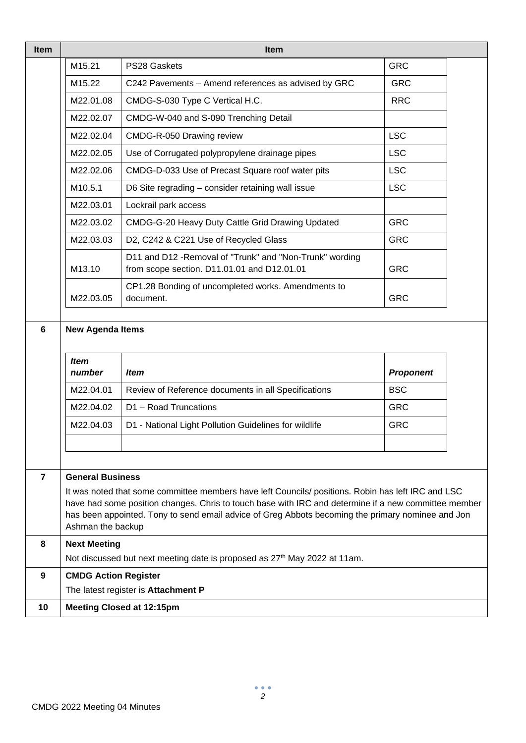| <b>Item</b>     | <b>Item</b>                                                                                                                                                                                                                                                                                                                          |                                                                                                         |                  |  |  |
|-----------------|--------------------------------------------------------------------------------------------------------------------------------------------------------------------------------------------------------------------------------------------------------------------------------------------------------------------------------------|---------------------------------------------------------------------------------------------------------|------------------|--|--|
|                 | M15.21                                                                                                                                                                                                                                                                                                                               | PS28 Gaskets                                                                                            | <b>GRC</b>       |  |  |
|                 | M15.22                                                                                                                                                                                                                                                                                                                               | C242 Pavements - Amend references as advised by GRC                                                     | <b>GRC</b>       |  |  |
|                 | M22.01.08                                                                                                                                                                                                                                                                                                                            | CMDG-S-030 Type C Vertical H.C.                                                                         | <b>RRC</b>       |  |  |
|                 | M22.02.07                                                                                                                                                                                                                                                                                                                            | CMDG-W-040 and S-090 Trenching Detail                                                                   |                  |  |  |
|                 | <b>LSC</b><br>M22.02.04<br>CMDG-R-050 Drawing review                                                                                                                                                                                                                                                                                 |                                                                                                         |                  |  |  |
|                 | <b>LSC</b><br>M22.02.05<br>Use of Corrugated polypropylene drainage pipes                                                                                                                                                                                                                                                            |                                                                                                         |                  |  |  |
|                 | <b>LSC</b><br>M22.02.06<br>CMDG-D-033 Use of Precast Square roof water pits                                                                                                                                                                                                                                                          |                                                                                                         |                  |  |  |
|                 | M10.5.1                                                                                                                                                                                                                                                                                                                              | D6 Site regrading - consider retaining wall issue                                                       | <b>LSC</b>       |  |  |
|                 | M22.03.01                                                                                                                                                                                                                                                                                                                            | Lockrail park access                                                                                    |                  |  |  |
|                 | M22.03.02                                                                                                                                                                                                                                                                                                                            | CMDG-G-20 Heavy Duty Cattle Grid Drawing Updated                                                        | <b>GRC</b>       |  |  |
|                 | M22.03.03                                                                                                                                                                                                                                                                                                                            | D2, C242 & C221 Use of Recycled Glass                                                                   | <b>GRC</b>       |  |  |
|                 | M13.10                                                                                                                                                                                                                                                                                                                               | D11 and D12 - Removal of "Trunk" and "Non-Trunk" wording<br>from scope section. D11.01.01 and D12.01.01 | <b>GRC</b>       |  |  |
|                 | M22.03.05                                                                                                                                                                                                                                                                                                                            | CP1.28 Bonding of uncompleted works. Amendments to<br>document.                                         | <b>GRC</b>       |  |  |
| $6\phantom{1}6$ | <b>New Agenda Items</b><br><b>Item</b>                                                                                                                                                                                                                                                                                               |                                                                                                         |                  |  |  |
|                 | number                                                                                                                                                                                                                                                                                                                               | <b>Item</b>                                                                                             | <b>Proponent</b> |  |  |
|                 | M22.04.01                                                                                                                                                                                                                                                                                                                            | Review of Reference documents in all Specifications                                                     | <b>BSC</b>       |  |  |
|                 | M22.04.02                                                                                                                                                                                                                                                                                                                            | D1 - Road Truncations                                                                                   | <b>GRC</b>       |  |  |
|                 | M22.04.03                                                                                                                                                                                                                                                                                                                            | D1 - National Light Pollution Guidelines for wildlife                                                   | <b>GRC</b>       |  |  |
|                 |                                                                                                                                                                                                                                                                                                                                      |                                                                                                         |                  |  |  |
| 7               | <b>General Business</b>                                                                                                                                                                                                                                                                                                              |                                                                                                         |                  |  |  |
|                 | It was noted that some committee members have left Councils/ positions. Robin has left IRC and LSC<br>have had some position changes. Chris to touch base with IRC and determine if a new committee member<br>has been appointed. Tony to send email advice of Greg Abbots becoming the primary nominee and Jon<br>Ashman the backup |                                                                                                         |                  |  |  |
| 8               | <b>Next Meeting</b>                                                                                                                                                                                                                                                                                                                  |                                                                                                         |                  |  |  |
|                 |                                                                                                                                                                                                                                                                                                                                      | Not discussed but next meeting date is proposed as 27 <sup>th</sup> May 2022 at 11am.                   |                  |  |  |
| 9               | <b>CMDG Action Register</b>                                                                                                                                                                                                                                                                                                          |                                                                                                         |                  |  |  |
|                 |                                                                                                                                                                                                                                                                                                                                      | The latest register is Attachment P                                                                     |                  |  |  |
| 10              | <b>Meeting Closed at 12:15pm</b>                                                                                                                                                                                                                                                                                                     |                                                                                                         |                  |  |  |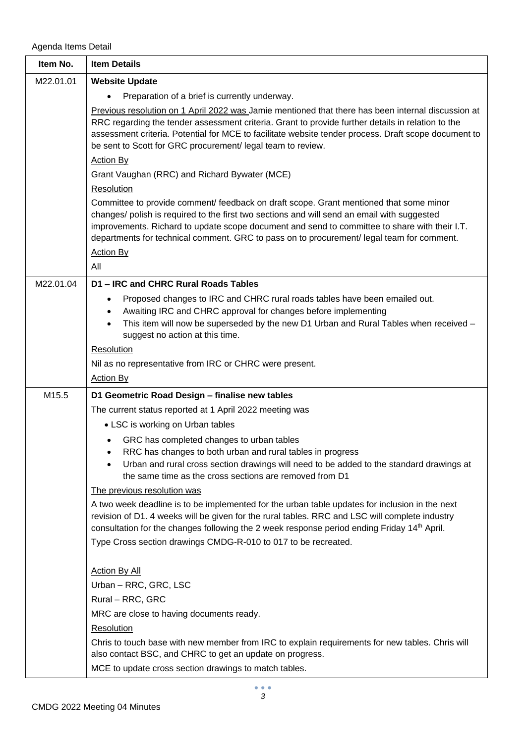Agenda Items Detail

| Item No.  | <b>Item Details</b>                                                                                                                                                                                                                                                                                                                                                                 |
|-----------|-------------------------------------------------------------------------------------------------------------------------------------------------------------------------------------------------------------------------------------------------------------------------------------------------------------------------------------------------------------------------------------|
| M22.01.01 | <b>Website Update</b>                                                                                                                                                                                                                                                                                                                                                               |
|           | Preparation of a brief is currently underway.                                                                                                                                                                                                                                                                                                                                       |
|           | Previous resolution on 1 April 2022 was Jamie mentioned that there has been internal discussion at<br>RRC regarding the tender assessment criteria. Grant to provide further details in relation to the<br>assessment criteria. Potential for MCE to facilitate website tender process. Draft scope document to<br>be sent to Scott for GRC procurement/legal team to review.       |
|           | <b>Action By</b>                                                                                                                                                                                                                                                                                                                                                                    |
|           | Grant Vaughan (RRC) and Richard Bywater (MCE)                                                                                                                                                                                                                                                                                                                                       |
|           | Resolution                                                                                                                                                                                                                                                                                                                                                                          |
|           | Committee to provide comment/ feedback on draft scope. Grant mentioned that some minor<br>changes/ polish is required to the first two sections and will send an email with suggested<br>improvements. Richard to update scope document and send to committee to share with their I.T.<br>departments for technical comment. GRC to pass on to procurement/ legal team for comment. |
|           | <b>Action By</b><br>All                                                                                                                                                                                                                                                                                                                                                             |
| M22.01.04 | D1 - IRC and CHRC Rural Roads Tables                                                                                                                                                                                                                                                                                                                                                |
|           | Proposed changes to IRC and CHRC rural roads tables have been emailed out.<br>Awaiting IRC and CHRC approval for changes before implementing<br>This item will now be superseded by the new D1 Urban and Rural Tables when received -<br>suggest no action at this time.                                                                                                            |
|           | <b>Resolution</b>                                                                                                                                                                                                                                                                                                                                                                   |
|           | Nil as no representative from IRC or CHRC were present.                                                                                                                                                                                                                                                                                                                             |
|           | <b>Action By</b>                                                                                                                                                                                                                                                                                                                                                                    |
| M15.5     | D1 Geometric Road Design - finalise new tables                                                                                                                                                                                                                                                                                                                                      |
|           | The current status reported at 1 April 2022 meeting was                                                                                                                                                                                                                                                                                                                             |
|           | • LSC is working on Urban tables                                                                                                                                                                                                                                                                                                                                                    |
|           | GRC has completed changes to urban tables<br>RRC has changes to both urban and rural tables in progress<br>Urban and rural cross section drawings will need to be added to the standard drawings at<br>the same time as the cross sections are removed from D1                                                                                                                      |
|           | The previous resolution was                                                                                                                                                                                                                                                                                                                                                         |
|           | A two week deadline is to be implemented for the urban table updates for inclusion in the next<br>revision of D1. 4 weeks will be given for the rural tables. RRC and LSC will complete industry<br>consultation for the changes following the 2 week response period ending Friday 14th April.<br>Type Cross section drawings CMDG-R-010 to 017 to be recreated.                   |
|           | <b>Action By All</b>                                                                                                                                                                                                                                                                                                                                                                |
|           | Urban - RRC, GRC, LSC                                                                                                                                                                                                                                                                                                                                                               |
|           | Rural – RRC, GRC                                                                                                                                                                                                                                                                                                                                                                    |
|           | MRC are close to having documents ready.                                                                                                                                                                                                                                                                                                                                            |
|           | Resolution                                                                                                                                                                                                                                                                                                                                                                          |
|           | Chris to touch base with new member from IRC to explain requirements for new tables. Chris will<br>also contact BSC, and CHRC to get an update on progress.                                                                                                                                                                                                                         |
|           | MCE to update cross section drawings to match tables.                                                                                                                                                                                                                                                                                                                               |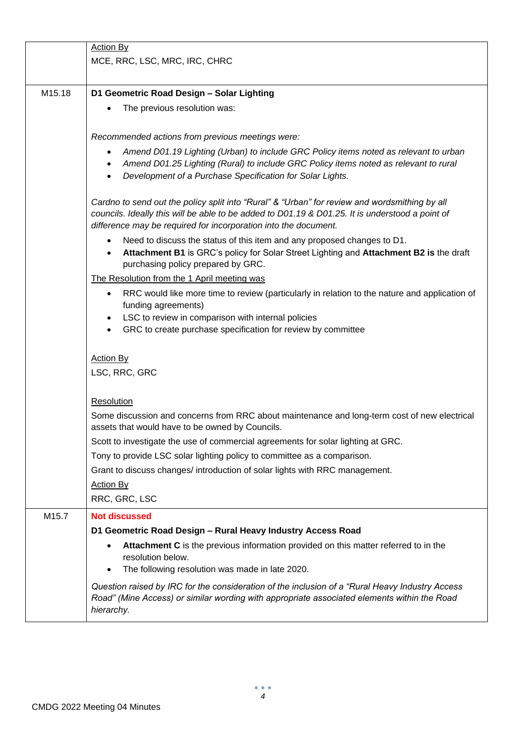|        | <b>Action By</b>                                                                                                                                                                                                                                                    |
|--------|---------------------------------------------------------------------------------------------------------------------------------------------------------------------------------------------------------------------------------------------------------------------|
|        | MCE, RRC, LSC, MRC, IRC, CHRC                                                                                                                                                                                                                                       |
|        |                                                                                                                                                                                                                                                                     |
| M15.18 | D1 Geometric Road Design - Solar Lighting                                                                                                                                                                                                                           |
|        | The previous resolution was:                                                                                                                                                                                                                                        |
|        |                                                                                                                                                                                                                                                                     |
|        | Recommended actions from previous meetings were:                                                                                                                                                                                                                    |
|        |                                                                                                                                                                                                                                                                     |
|        | Amend D01.19 Lighting (Urban) to include GRC Policy items noted as relevant to urban<br>Amend D01.25 Lighting (Rural) to include GRC Policy items noted as relevant to rural<br>$\bullet$<br>Development of a Purchase Specification for Solar Lights.              |
|        | Cardno to send out the policy split into "Rural" & "Urban" for review and wordsmithing by all<br>councils. Ideally this will be able to be added to D01.19 & D01.25. It is understood a point of<br>difference may be required for incorporation into the document. |
|        | Need to discuss the status of this item and any proposed changes to D1.<br>$\bullet$<br>Attachment B1 is GRC's policy for Solar Street Lighting and Attachment B2 is the draft<br>purchasing policy prepared by GRC.                                                |
|        | The Resolution from the 1 April meeting was                                                                                                                                                                                                                         |
|        | RRC would like more time to review (particularly in relation to the nature and application of<br>funding agreements)                                                                                                                                                |
|        | LSC to review in comparison with internal policies                                                                                                                                                                                                                  |
|        | GRC to create purchase specification for review by committee                                                                                                                                                                                                        |
|        |                                                                                                                                                                                                                                                                     |
|        | <b>Action By</b>                                                                                                                                                                                                                                                    |
|        | LSC, RRC, GRC                                                                                                                                                                                                                                                       |
|        | Resolution                                                                                                                                                                                                                                                          |
|        | Some discussion and concerns from RRC about maintenance and long-term cost of new electrical                                                                                                                                                                        |
|        | assets that would have to be owned by Councils.                                                                                                                                                                                                                     |
|        | Scott to investigate the use of commercial agreements for solar lighting at GRC.                                                                                                                                                                                    |
|        | Tony to provide LSC solar lighting policy to committee as a comparison.                                                                                                                                                                                             |
|        | Grant to discuss changes/ introduction of solar lights with RRC management.                                                                                                                                                                                         |
|        | <b>Action By</b>                                                                                                                                                                                                                                                    |
|        | RRC, GRC, LSC                                                                                                                                                                                                                                                       |
| M15.7  | <b>Not discussed</b>                                                                                                                                                                                                                                                |
|        | D1 Geometric Road Design - Rural Heavy Industry Access Road                                                                                                                                                                                                         |
|        | Attachment C is the previous information provided on this matter referred to in the<br>resolution below.                                                                                                                                                            |
|        | The following resolution was made in late 2020.                                                                                                                                                                                                                     |
|        | Question raised by IRC for the consideration of the inclusion of a "Rural Heavy Industry Access"<br>Road" (Mine Access) or similar wording with appropriate associated elements within the Road<br>hierarchy.                                                       |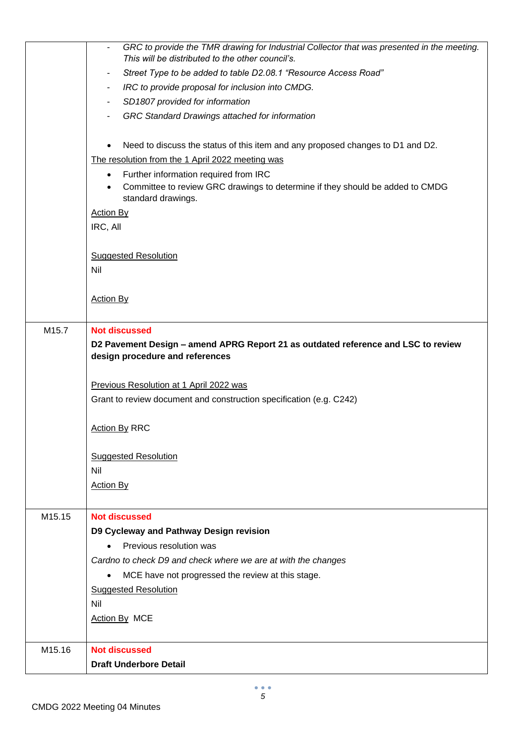|                                                                                   | GRC to provide the TMR drawing for Industrial Collector that was presented in the meeting.                       |  |  |  |
|-----------------------------------------------------------------------------------|------------------------------------------------------------------------------------------------------------------|--|--|--|
|                                                                                   | This will be distributed to the other council's.                                                                 |  |  |  |
|                                                                                   | Street Type to be added to table D2.08.1 "Resource Access Road"<br>٠                                             |  |  |  |
|                                                                                   | IRC to provide proposal for inclusion into CMDG.<br>٠                                                            |  |  |  |
|                                                                                   | SD1807 provided for information                                                                                  |  |  |  |
|                                                                                   | GRC Standard Drawings attached for information                                                                   |  |  |  |
|                                                                                   |                                                                                                                  |  |  |  |
|                                                                                   | Need to discuss the status of this item and any proposed changes to D1 and D2.                                   |  |  |  |
|                                                                                   | The resolution from the 1 April 2022 meeting was                                                                 |  |  |  |
|                                                                                   | Further information required from IRC<br>$\bullet$                                                               |  |  |  |
|                                                                                   | Committee to review GRC drawings to determine if they should be added to CMDG<br>$\bullet$<br>standard drawings. |  |  |  |
|                                                                                   | <b>Action By</b>                                                                                                 |  |  |  |
|                                                                                   | IRC, All                                                                                                         |  |  |  |
|                                                                                   |                                                                                                                  |  |  |  |
|                                                                                   | <b>Suggested Resolution</b>                                                                                      |  |  |  |
|                                                                                   | Nil                                                                                                              |  |  |  |
|                                                                                   |                                                                                                                  |  |  |  |
|                                                                                   | <b>Action By</b>                                                                                                 |  |  |  |
|                                                                                   |                                                                                                                  |  |  |  |
| M15.7                                                                             | <b>Not discussed</b>                                                                                             |  |  |  |
| D2 Pavement Design - amend APRG Report 21 as outdated reference and LSC to review |                                                                                                                  |  |  |  |
|                                                                                   | design procedure and references                                                                                  |  |  |  |
|                                                                                   |                                                                                                                  |  |  |  |
|                                                                                   | Previous Resolution at 1 April 2022 was                                                                          |  |  |  |
|                                                                                   | Grant to review document and construction specification (e.g. C242)                                              |  |  |  |
|                                                                                   |                                                                                                                  |  |  |  |
|                                                                                   | <b>Action By RRC</b>                                                                                             |  |  |  |
|                                                                                   |                                                                                                                  |  |  |  |
|                                                                                   | <b>Suggested Resolution</b>                                                                                      |  |  |  |
|                                                                                   | Nil                                                                                                              |  |  |  |
|                                                                                   | <b>Action By</b>                                                                                                 |  |  |  |
|                                                                                   |                                                                                                                  |  |  |  |
| M15.15                                                                            | <b>Not discussed</b>                                                                                             |  |  |  |
|                                                                                   | D9 Cycleway and Pathway Design revision                                                                          |  |  |  |
|                                                                                   | Previous resolution was                                                                                          |  |  |  |
|                                                                                   | Cardno to check D9 and check where we are at with the changes                                                    |  |  |  |
|                                                                                   | MCE have not progressed the review at this stage.<br>$\bullet$                                                   |  |  |  |
|                                                                                   | <b>Suggested Resolution</b>                                                                                      |  |  |  |
|                                                                                   | Nil                                                                                                              |  |  |  |
|                                                                                   | Action By MCE                                                                                                    |  |  |  |
|                                                                                   |                                                                                                                  |  |  |  |
| M15.16                                                                            | <b>Not discussed</b>                                                                                             |  |  |  |
|                                                                                   | <b>Draft Underbore Detail</b>                                                                                    |  |  |  |
|                                                                                   |                                                                                                                  |  |  |  |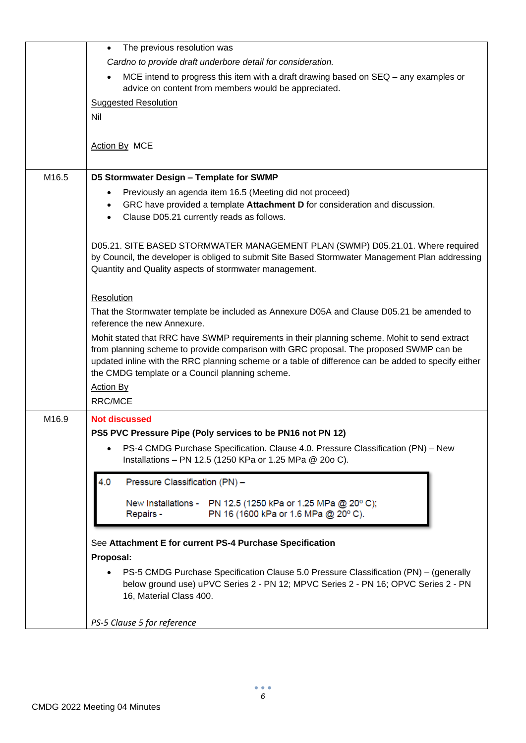|       | The previous resolution was<br>$\bullet$                                                                                                                                                                                                                                                                                                         |
|-------|--------------------------------------------------------------------------------------------------------------------------------------------------------------------------------------------------------------------------------------------------------------------------------------------------------------------------------------------------|
|       | Cardno to provide draft underbore detail for consideration.                                                                                                                                                                                                                                                                                      |
|       | MCE intend to progress this item with a draft drawing based on SEQ – any examples or<br>advice on content from members would be appreciated.                                                                                                                                                                                                     |
|       | <b>Suggested Resolution</b>                                                                                                                                                                                                                                                                                                                      |
|       | Nil                                                                                                                                                                                                                                                                                                                                              |
|       |                                                                                                                                                                                                                                                                                                                                                  |
|       | <b>Action By MCE</b>                                                                                                                                                                                                                                                                                                                             |
| M16.5 | D5 Stormwater Design - Template for SWMP                                                                                                                                                                                                                                                                                                         |
|       | Previously an agenda item 16.5 (Meeting did not proceed)                                                                                                                                                                                                                                                                                         |
|       | GRC have provided a template Attachment D for consideration and discussion.<br>Clause D05.21 currently reads as follows.                                                                                                                                                                                                                         |
|       | D05.21. SITE BASED STORMWATER MANAGEMENT PLAN (SWMP) D05.21.01. Where required<br>by Council, the developer is obliged to submit Site Based Stormwater Management Plan addressing<br>Quantity and Quality aspects of stormwater management.                                                                                                      |
|       | Resolution                                                                                                                                                                                                                                                                                                                                       |
|       | That the Stormwater template be included as Annexure D05A and Clause D05.21 be amended to<br>reference the new Annexure.                                                                                                                                                                                                                         |
|       | Mohit stated that RRC have SWMP requirements in their planning scheme. Mohit to send extract<br>from planning scheme to provide comparison with GRC proposal. The proposed SWMP can be<br>updated inline with the RRC planning scheme or a table of difference can be added to specify either<br>the CMDG template or a Council planning scheme. |
|       | <b>Action By</b>                                                                                                                                                                                                                                                                                                                                 |
|       | <b>RRC/MCE</b>                                                                                                                                                                                                                                                                                                                                   |
| M16.9 | <b>Not discussed</b>                                                                                                                                                                                                                                                                                                                             |
|       | PS5 PVC Pressure Pipe (Poly services to be PN16 not PN 12)                                                                                                                                                                                                                                                                                       |
|       | PS-4 CMDG Purchase Specification. Clause 4.0. Pressure Classification (PN) - New<br>Installations - PN 12.5 (1250 KPa or 1.25 MPa @ 20o C).                                                                                                                                                                                                      |
|       | 4.0<br>Pressure Classification (PN) -                                                                                                                                                                                                                                                                                                            |
|       | New Installations - PN 12.5 (1250 kPa or 1.25 MPa @ 20° C);<br>PN 16 (1600 kPa or 1.6 MPa @ 20° C).<br>Repairs -                                                                                                                                                                                                                                 |
|       | See Attachment E for current PS-4 Purchase Specification                                                                                                                                                                                                                                                                                         |
|       | Proposal:                                                                                                                                                                                                                                                                                                                                        |
|       | PS-5 CMDG Purchase Specification Clause 5.0 Pressure Classification (PN) - (generally<br>below ground use) uPVC Series 2 - PN 12; MPVC Series 2 - PN 16; OPVC Series 2 - PN<br>16, Material Class 400.                                                                                                                                           |
|       | PS-5 Clause 5 for reference                                                                                                                                                                                                                                                                                                                      |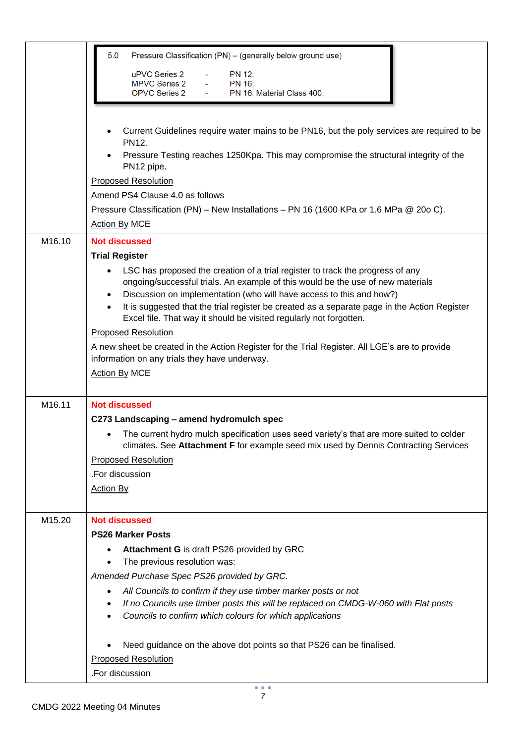|        | 5.0<br>Pressure Classification (PN) - (generally below ground use)                                                                                                              |  |  |  |  |  |
|--------|---------------------------------------------------------------------------------------------------------------------------------------------------------------------------------|--|--|--|--|--|
|        | uPVC Series 2<br>PN 12;                                                                                                                                                         |  |  |  |  |  |
|        | MPVC Series 2 -<br>PN 16;<br><b>OPVC Series 2</b><br>PN 16, Material Class 400.                                                                                                 |  |  |  |  |  |
|        |                                                                                                                                                                                 |  |  |  |  |  |
|        | Current Guidelines require water mains to be PN16, but the poly services are required to be                                                                                     |  |  |  |  |  |
|        | PN12.<br>Pressure Testing reaches 1250Kpa. This may compromise the structural integrity of the                                                                                  |  |  |  |  |  |
|        | PN12 pipe.                                                                                                                                                                      |  |  |  |  |  |
|        | <b>Proposed Resolution</b>                                                                                                                                                      |  |  |  |  |  |
|        | Amend PS4 Clause 4.0 as follows                                                                                                                                                 |  |  |  |  |  |
|        | Pressure Classification (PN) – New Installations – PN 16 (1600 KPa or 1.6 MPa @ 20o C).                                                                                         |  |  |  |  |  |
|        | Action By MCE                                                                                                                                                                   |  |  |  |  |  |
| M16.10 | <b>Not discussed</b>                                                                                                                                                            |  |  |  |  |  |
|        | <b>Trial Register</b>                                                                                                                                                           |  |  |  |  |  |
|        | LSC has proposed the creation of a trial register to track the progress of any                                                                                                  |  |  |  |  |  |
|        | ongoing/successful trials. An example of this would be the use of new materials                                                                                                 |  |  |  |  |  |
|        | Discussion on implementation (who will have access to this and how?)<br>٠<br>It is suggested that the trial register be created as a separate page in the Action Register       |  |  |  |  |  |
|        | Excel file. That way it should be visited regularly not forgotten.                                                                                                              |  |  |  |  |  |
|        | <b>Proposed Resolution</b>                                                                                                                                                      |  |  |  |  |  |
|        | A new sheet be created in the Action Register for the Trial Register. All LGE's are to provide                                                                                  |  |  |  |  |  |
|        | information on any trials they have underway.                                                                                                                                   |  |  |  |  |  |
|        | <b>Action By MCE</b>                                                                                                                                                            |  |  |  |  |  |
| M16.11 | <b>Not discussed</b>                                                                                                                                                            |  |  |  |  |  |
|        | C273 Landscaping - amend hydromulch spec                                                                                                                                        |  |  |  |  |  |
|        | The current hydro mulch specification uses seed variety's that are more suited to colder<br>climates. See Attachment F for example seed mix used by Dennis Contracting Services |  |  |  |  |  |
|        | <b>Proposed Resolution</b>                                                                                                                                                      |  |  |  |  |  |
|        | .For discussion                                                                                                                                                                 |  |  |  |  |  |
|        | <b>Action By</b>                                                                                                                                                                |  |  |  |  |  |
|        |                                                                                                                                                                                 |  |  |  |  |  |
| M15.20 | <b>Not discussed</b>                                                                                                                                                            |  |  |  |  |  |
|        | <b>PS26 Marker Posts</b>                                                                                                                                                        |  |  |  |  |  |
|        | <b>Attachment G</b> is draft PS26 provided by GRC                                                                                                                               |  |  |  |  |  |
|        | The previous resolution was:<br>Amended Purchase Spec PS26 provided by GRC.                                                                                                     |  |  |  |  |  |
|        | All Councils to confirm if they use timber marker posts or not                                                                                                                  |  |  |  |  |  |
|        | If no Councils use timber posts this will be replaced on CMDG-W-060 with Flat posts                                                                                             |  |  |  |  |  |
|        | Councils to confirm which colours for which applications                                                                                                                        |  |  |  |  |  |
|        | Need guidance on the above dot points so that PS26 can be finalised.                                                                                                            |  |  |  |  |  |
|        | <b>Proposed Resolution</b>                                                                                                                                                      |  |  |  |  |  |
|        | .For discussion                                                                                                                                                                 |  |  |  |  |  |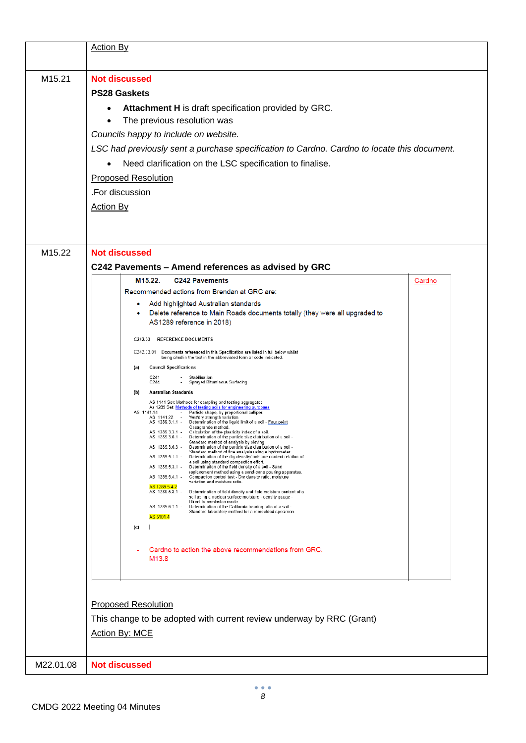|           | <b>Action By</b>                                                                                                                                                                                                                                                                                                                                                                                                                                                                                                                                                                                                                                                                                                                                                                                                                                                                                                                                                                                                                                                                                                                                                                                                                                                                                                                                                                                                                                                                                                                                                                                                                                                                                                                                                                                                                                                                                                                                                                                                                                                                                                                                                                                                                                                                                      |        |
|-----------|-------------------------------------------------------------------------------------------------------------------------------------------------------------------------------------------------------------------------------------------------------------------------------------------------------------------------------------------------------------------------------------------------------------------------------------------------------------------------------------------------------------------------------------------------------------------------------------------------------------------------------------------------------------------------------------------------------------------------------------------------------------------------------------------------------------------------------------------------------------------------------------------------------------------------------------------------------------------------------------------------------------------------------------------------------------------------------------------------------------------------------------------------------------------------------------------------------------------------------------------------------------------------------------------------------------------------------------------------------------------------------------------------------------------------------------------------------------------------------------------------------------------------------------------------------------------------------------------------------------------------------------------------------------------------------------------------------------------------------------------------------------------------------------------------------------------------------------------------------------------------------------------------------------------------------------------------------------------------------------------------------------------------------------------------------------------------------------------------------------------------------------------------------------------------------------------------------------------------------------------------------------------------------------------------------|--------|
| M15.21    | <b>Not discussed</b><br><b>PS28 Gaskets</b><br>Attachment H is draft specification provided by GRC.<br>The previous resolution was<br>Councils happy to include on website.<br>LSC had previously sent a purchase specification to Cardno. Cardno to locate this document.<br>Need clarification on the LSC specification to finalise.<br><b>Proposed Resolution</b><br>.For discussion<br><b>Action By</b>                                                                                                                                                                                                                                                                                                                                                                                                                                                                                                                                                                                                                                                                                                                                                                                                                                                                                                                                                                                                                                                                                                                                                                                                                                                                                                                                                                                                                                                                                                                                                                                                                                                                                                                                                                                                                                                                                           |        |
| M15.22    | <b>Not discussed</b><br>C242 Pavements - Amend references as advised by GRC<br>M15.22.<br><b>C242 Pavements</b><br>Recommended actions from Brendan at GRC are:<br>Add highlighted Australian standards<br>۰<br>Delete reference to Main Roads documents totally (they were all upgraded to<br>AS1289 reference in 2018)<br>C242.03 REFERENCE DOCUMENTS<br>C242.03.01 Documents referenced in this Specification are listed in full below whilst<br>being cited in the text in the abbreviated form or code indicated.<br><b>Council Specifications</b><br>(a)<br>C241<br>Stabilisation<br>C244<br>Sprayed Bituminous Surfacing<br><b>Australian Standards</b><br>(b)<br>AS 1141 Set: Methods for sampling and testing aggregates<br>As 1289 Set Methods of testing soils for engineering purposes<br>AS 1141.14<br>Particle shape, by proportional calliper.<br>AS 1141.22 - WeVdry strength variation.<br>AS 1289.3.1.1 - Determination of the liquid limit of a soil - Four point<br>Casagrande method.<br>AS 1289.3.3.1 - Calculation of the plasticity index of a soil.<br>AS 1289.3.6.1 -<br>Determination of the particle size distribution of a soil -<br>Standard method of analysis by sieving.<br>AS 1289.3.6.3 -<br>Determination of the particle size distribution of a soil -<br>Standard method of fine analysis using a hydrometer.<br>AS 1289.5.1.1 -<br>Determination of the dry density/moisture content relation of<br>a soil using standard compaction effort.<br>AS 1289.5.3.1 -<br>Determination of the field density of a soil - Sand<br>replacement method using a sand-cone pouring apparatus.<br>AS 1289.5.4.1 -<br>Compaction control test - Dry density ratio, moisture<br>variation and moisture ratio.<br>AS 1289.5.4.2<br>AS 1289.5.8.1 -<br>Determination of field density and field moisture content of a<br>soil using a nuclear surface moisture - density gauge -<br>Direct transmission mode.<br>AS 1289.6.1.1 -<br>Determination of the California bearing ratio of a soil -<br>Standard laboratory method for a remoulded specimen.<br>AS 5101.4<br>(c)<br>Cardno to action the above recommendations from GRC.<br>M <sub>13.8</sub><br><b>Proposed Resolution</b><br>This change to be adopted with current review underway by RRC (Grant)<br>Action By: MCE | Cardno |
| M22.01.08 | <b>Not discussed</b>                                                                                                                                                                                                                                                                                                                                                                                                                                                                                                                                                                                                                                                                                                                                                                                                                                                                                                                                                                                                                                                                                                                                                                                                                                                                                                                                                                                                                                                                                                                                                                                                                                                                                                                                                                                                                                                                                                                                                                                                                                                                                                                                                                                                                                                                                  |        |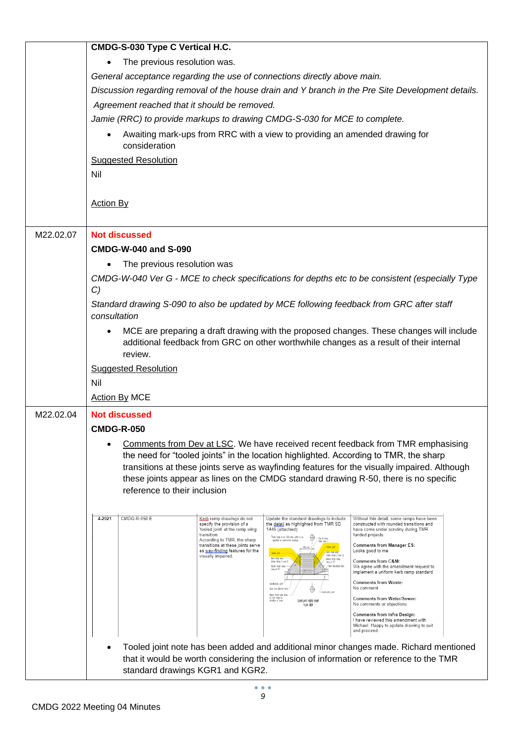|           | CMDG-S-030 Type C Vertical H.C.                                                                                                                                                                                                                                                          |  |  |  |  |
|-----------|------------------------------------------------------------------------------------------------------------------------------------------------------------------------------------------------------------------------------------------------------------------------------------------|--|--|--|--|
|           | The previous resolution was.                                                                                                                                                                                                                                                             |  |  |  |  |
|           | General acceptance regarding the use of connections directly above main.                                                                                                                                                                                                                 |  |  |  |  |
|           | Discussion regarding removal of the house drain and Y branch in the Pre Site Development details.                                                                                                                                                                                        |  |  |  |  |
|           | Agreement reached that it should be removed.                                                                                                                                                                                                                                             |  |  |  |  |
|           | Jamie (RRC) to provide markups to drawing CMDG-S-030 for MCE to complete.                                                                                                                                                                                                                |  |  |  |  |
|           | Awaiting mark-ups from RRC with a view to providing an amended drawing for<br>consideration                                                                                                                                                                                              |  |  |  |  |
|           | <b>Suggested Resolution</b>                                                                                                                                                                                                                                                              |  |  |  |  |
|           | Nil                                                                                                                                                                                                                                                                                      |  |  |  |  |
|           |                                                                                                                                                                                                                                                                                          |  |  |  |  |
|           | <b>Action By</b>                                                                                                                                                                                                                                                                         |  |  |  |  |
|           |                                                                                                                                                                                                                                                                                          |  |  |  |  |
| M22.02.07 | <b>Not discussed</b>                                                                                                                                                                                                                                                                     |  |  |  |  |
|           | <b>CMDG-W-040 and S-090</b>                                                                                                                                                                                                                                                              |  |  |  |  |
|           | The previous resolution was                                                                                                                                                                                                                                                              |  |  |  |  |
|           | CMDG-W-040 Ver G - MCE to check specifications for depths etc to be consistent (especially Type<br>C)                                                                                                                                                                                    |  |  |  |  |
|           | Standard drawing S-090 to also be updated by MCE following feedback from GRC after staff<br>consultation                                                                                                                                                                                 |  |  |  |  |
|           | MCE are preparing a draft drawing with the proposed changes. These changes will include<br>additional feedback from GRC on other worthwhile changes as a result of their internal                                                                                                        |  |  |  |  |
|           | review.<br><b>Suggested Resolution</b>                                                                                                                                                                                                                                                   |  |  |  |  |
|           | Nil                                                                                                                                                                                                                                                                                      |  |  |  |  |
|           | <b>Action By MCE</b>                                                                                                                                                                                                                                                                     |  |  |  |  |
| M22.02.04 |                                                                                                                                                                                                                                                                                          |  |  |  |  |
|           | <b>Not discussed</b><br><b>CMDG-R-050</b>                                                                                                                                                                                                                                                |  |  |  |  |
|           | Comments from Dev at LSC. We have received recent feedback from TMR emphasising                                                                                                                                                                                                          |  |  |  |  |
|           | the need for "tooled joints" in the location highlighted. According to TMR, the sharp                                                                                                                                                                                                    |  |  |  |  |
|           | transitions at these joints serve as wayfinding features for the visually impaired. Although                                                                                                                                                                                             |  |  |  |  |
|           | these joints appear as lines on the CMDG standard drawing R-50, there is no specific                                                                                                                                                                                                     |  |  |  |  |
|           | reference to their inclusion                                                                                                                                                                                                                                                             |  |  |  |  |
|           | 4-2021<br><b>CMDG-R-050 E</b><br>Kerb ramp drawings do not<br>Update the standard drawings to include<br>Without this detail, some ramps have been                                                                                                                                       |  |  |  |  |
|           | specify the provision of a<br>the detail as highlighted from TMR SD<br>constructed with rounded transitions and<br>'tooled joint' at the ramp wing<br>1446 (attached)<br>have come under scrutiny during TMR<br>transition.<br>funded projects.<br>"Kerb ramp to be 1200 min. with or as |  |  |  |  |
|           | -Top of nonp.<br>Refer N <u>oix 1</u><br>According to TMR, the sharp<br>specified on construction drowings<br>transitions at these joints serve<br><b>Comments from Manager ES:</b><br>-Toded jobb<br>as way-finding features for the<br>Looks good to me.<br>-Reb rong wing             |  |  |  |  |
|           | Tooled joint<br>visually impaired.<br>(Refer Notes 2 cnd 4)<br>Boarn finish nomp<br>wing at 45°<br>Comments from C&M:<br>Broam fixiat ron<br>We agree with the amendment request to<br>-Savi Mazelable Keel                                                                              |  |  |  |  |
|           | ving at 45<br>implement a uniform kerb ramp standard.                                                                                                                                                                                                                                    |  |  |  |  |
|           | <b>Comments from Waste:</b><br>Construction joint<br>No comment<br>Kerb Face [Barrier Kerb]<br>⊕<br>Broom finish light name                                                                                                                                                              |  |  |  |  |
|           | at right angle to<br>direction of front<br><b>Comments from Water/Sewer:</b><br>COMPLIRAT KERB RAWP<br>No comments or objections.<br>PLAN VIEW                                                                                                                                           |  |  |  |  |
|           | <b>Comments from Infra Design:</b><br>I have reviewed this amendment with<br>Michael. Happy to update drawing to suit<br>and proceed.                                                                                                                                                    |  |  |  |  |
|           | Tooled joint note has been added and additional minor changes made. Richard mentioned                                                                                                                                                                                                    |  |  |  |  |
|           | that it would be worth considering the inclusion of information or reference to the TMR                                                                                                                                                                                                  |  |  |  |  |
|           | standard drawings KGR1 and KGR2.                                                                                                                                                                                                                                                         |  |  |  |  |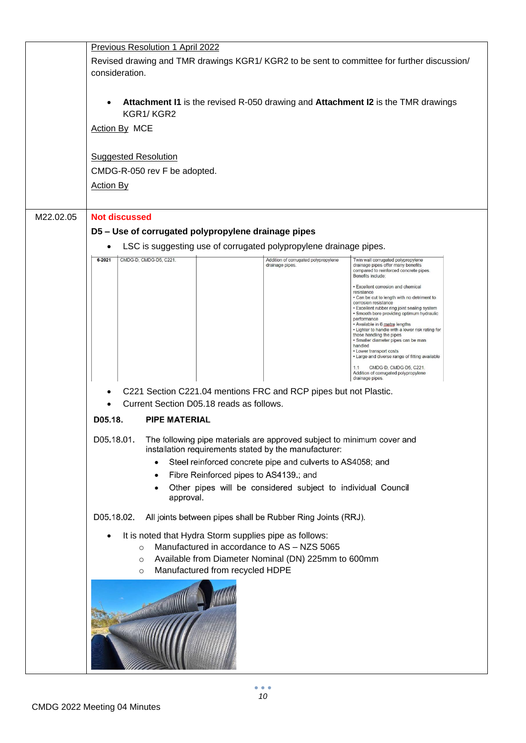|           | Previous Resolution 1 April 2022                                                                                                                                                                                                                                                                                                                                                                                                 |  |  |
|-----------|----------------------------------------------------------------------------------------------------------------------------------------------------------------------------------------------------------------------------------------------------------------------------------------------------------------------------------------------------------------------------------------------------------------------------------|--|--|
|           | Revised drawing and TMR drawings KGR1/KGR2 to be sent to committee for further discussion/<br>consideration.                                                                                                                                                                                                                                                                                                                     |  |  |
|           | <b>Attachment I1</b> is the revised R-050 drawing and <b>Attachment I2</b> is the TMR drawings<br>KGR1/KGR2<br>Action By MCE                                                                                                                                                                                                                                                                                                     |  |  |
|           | <b>Suggested Resolution</b><br>CMDG-R-050 rev F be adopted.<br><b>Action By</b>                                                                                                                                                                                                                                                                                                                                                  |  |  |
| M22.02.05 | <b>Not discussed</b>                                                                                                                                                                                                                                                                                                                                                                                                             |  |  |
|           | D5 - Use of corrugated polypropylene drainage pipes                                                                                                                                                                                                                                                                                                                                                                              |  |  |
|           | LSC is suggesting use of corrugated polypropylene drainage pipes.                                                                                                                                                                                                                                                                                                                                                                |  |  |
|           | CMDG-D, CMDG-D5, C221.<br>$6 - 2021$<br>Addition of corrugated polypropylene<br>Twin wall corrugated polypropylene<br>drainage pipes offer many benefits<br>drainage pipes.<br>compared to reinforced concrete pipes.<br>Benefits include:<br>· Excellent corrosion and chemical<br>resistance                                                                                                                                   |  |  |
|           | . Can be cut to length with no detriment to<br>corrosion resistance<br>• Excellent rubber ring joint sealing system<br>. Smooth bore providing optimum hydraulic<br>performance<br>• Available in 6 metre lengths<br>. Lighter to handle with a lower risk rating for<br>those handling the pipes<br>· Smaller diameter pipes can be man<br>handled<br>• Lower transport costs<br>• Large and diverse range of fitting available |  |  |
|           | CMDG-D, CMDG-D5, C221.<br>1.1<br>Addition of corrugated polypropylene<br>drainage pipes.                                                                                                                                                                                                                                                                                                                                         |  |  |
|           | C221 Section C221.04 mentions FRC and RCP pipes but not Plastic.                                                                                                                                                                                                                                                                                                                                                                 |  |  |
|           | Current Section D05.18 reads as follows.                                                                                                                                                                                                                                                                                                                                                                                         |  |  |
|           | D05.18.<br><b>PIPE MATERIAL</b>                                                                                                                                                                                                                                                                                                                                                                                                  |  |  |
|           | D05.18.01.<br>The following pipe materials are approved subject to minimum cover and<br>installation requirements stated by the manufacturer:                                                                                                                                                                                                                                                                                    |  |  |
|           | Steel reinforced concrete pipe and culverts to AS4058; and                                                                                                                                                                                                                                                                                                                                                                       |  |  |
|           | Fibre Reinforced pipes to AS4139.; and<br>Other pipes will be considered subject to individual Council                                                                                                                                                                                                                                                                                                                           |  |  |
|           | approval.                                                                                                                                                                                                                                                                                                                                                                                                                        |  |  |
|           | D05.18.02.<br>All joints between pipes shall be Rubber Ring Joints (RRJ).                                                                                                                                                                                                                                                                                                                                                        |  |  |
|           | It is noted that Hydra Storm supplies pipe as follows:<br>Manufactured in accordance to AS - NZS 5065<br>$\circ$<br>Available from Diameter Nominal (DN) 225mm to 600mm<br>$\circ$<br>Manufactured from recycled HDPE<br>$\circ$                                                                                                                                                                                                 |  |  |
|           |                                                                                                                                                                                                                                                                                                                                                                                                                                  |  |  |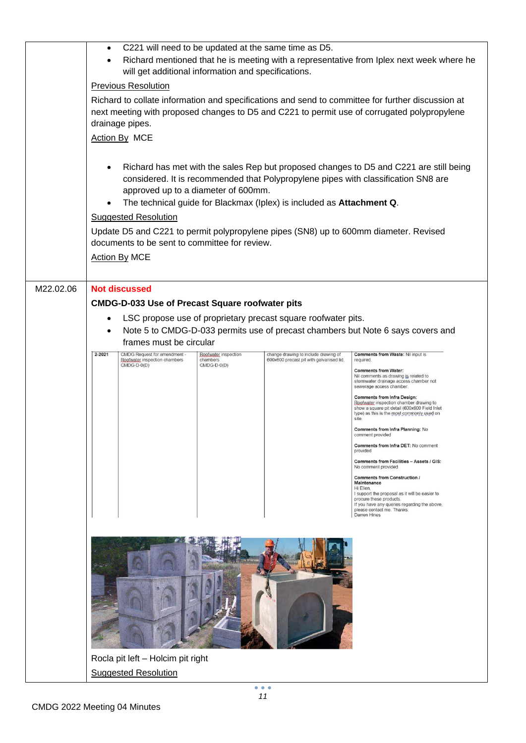|           | C221 will need to be updated at the same time as D5.<br>$\bullet$                                                                                                                                                                                                                                                                                                                                                                                                                            |                                                               |                                  |                                                                                  |                                                                                                                                                                                                                                     |
|-----------|----------------------------------------------------------------------------------------------------------------------------------------------------------------------------------------------------------------------------------------------------------------------------------------------------------------------------------------------------------------------------------------------------------------------------------------------------------------------------------------------|---------------------------------------------------------------|----------------------------------|----------------------------------------------------------------------------------|-------------------------------------------------------------------------------------------------------------------------------------------------------------------------------------------------------------------------------------|
|           | Richard mentioned that he is meeting with a representative from Iplex next week where he<br>$\bullet$<br>will get additional information and specifications.                                                                                                                                                                                                                                                                                                                                 |                                                               |                                  |                                                                                  |                                                                                                                                                                                                                                     |
|           | <b>Previous Resolution</b><br>Richard to collate information and specifications and send to committee for further discussion at<br>next meeting with proposed changes to D5 and C221 to permit use of corrugated polypropylene<br>drainage pipes.<br><b>Action By MCE</b>                                                                                                                                                                                                                    |                                                               |                                  |                                                                                  |                                                                                                                                                                                                                                     |
|           |                                                                                                                                                                                                                                                                                                                                                                                                                                                                                              |                                                               |                                  |                                                                                  |                                                                                                                                                                                                                                     |
|           | Richard has met with the sales Rep but proposed changes to D5 and C221 are still being<br>considered. It is recommended that Polypropylene pipes with classification SN8 are<br>approved up to a diameter of 600mm.<br>The technical guide for Blackmax (Iplex) is included as Attachment Q.<br><b>Suggested Resolution</b><br>Update D5 and C221 to permit polypropylene pipes (SN8) up to 600mm diameter. Revised<br>documents to be sent to committee for review.<br><b>Action By MCE</b> |                                                               |                                  |                                                                                  |                                                                                                                                                                                                                                     |
| M22.02.06 |                                                                                                                                                                                                                                                                                                                                                                                                                                                                                              | <b>Not discussed</b>                                          |                                  |                                                                                  |                                                                                                                                                                                                                                     |
|           |                                                                                                                                                                                                                                                                                                                                                                                                                                                                                              | <b>CMDG-D-033 Use of Precast Square roofwater pits</b>        |                                  |                                                                                  |                                                                                                                                                                                                                                     |
|           |                                                                                                                                                                                                                                                                                                                                                                                                                                                                                              | frames must be circular                                       |                                  | LSC propose use of proprietary precast square roofwater pits.                    | Note 5 to CMDG-D-033 permits use of precast chambers but Note 6 says covers and                                                                                                                                                     |
|           | $2 - 2021$                                                                                                                                                                                                                                                                                                                                                                                                                                                                                   | CMDG Request for amendment -<br>Roofwater inspection chambers | Roofwater inspection<br>chambers | change drawing to include drawing of<br>600x600 precast pit with galvanised lid. | Comments from Waste: Nil input is<br>required.                                                                                                                                                                                      |
|           |                                                                                                                                                                                                                                                                                                                                                                                                                                                                                              | $CMDG-D-0(D)$                                                 | CMDG-D-0(D)                      |                                                                                  | <b>Comments from Water:</b><br>Nil comments as drawing is related to<br>stormwater drainage access chamber not<br>sewerage access chamber.                                                                                          |
|           |                                                                                                                                                                                                                                                                                                                                                                                                                                                                                              |                                                               |                                  |                                                                                  | <b>Comments from Infra Design:</b><br>Roofwater inspection chamber drawing to<br>show a square pit detail (600x600 Field Inlet<br>type) as this is the most commonly used on<br>site.                                               |
|           |                                                                                                                                                                                                                                                                                                                                                                                                                                                                                              |                                                               |                                  |                                                                                  | Comments from Infra Planning: No<br>comment provided                                                                                                                                                                                |
|           |                                                                                                                                                                                                                                                                                                                                                                                                                                                                                              |                                                               |                                  |                                                                                  | Comments from Infra DET: No comment<br>provided                                                                                                                                                                                     |
|           |                                                                                                                                                                                                                                                                                                                                                                                                                                                                                              |                                                               |                                  |                                                                                  | Comments from Facilities - Assets / GIS:<br>No comment provided                                                                                                                                                                     |
|           |                                                                                                                                                                                                                                                                                                                                                                                                                                                                                              |                                                               |                                  |                                                                                  | Comments from Construction /<br>Maintenance<br>Hi Ellen,<br>I support the proposal as it will be easier to<br>procure these products.<br>If you have any queries regarding the above,<br>please contact me. Thanks.<br>Darren Hines |
|           |                                                                                                                                                                                                                                                                                                                                                                                                                                                                                              |                                                               |                                  |                                                                                  |                                                                                                                                                                                                                                     |
|           |                                                                                                                                                                                                                                                                                                                                                                                                                                                                                              |                                                               |                                  |                                                                                  |                                                                                                                                                                                                                                     |
|           | Rocla pit left - Holcim pit right                                                                                                                                                                                                                                                                                                                                                                                                                                                            |                                                               |                                  |                                                                                  |                                                                                                                                                                                                                                     |
|           | <b>Suggested Resolution</b>                                                                                                                                                                                                                                                                                                                                                                                                                                                                  |                                                               |                                  |                                                                                  |                                                                                                                                                                                                                                     |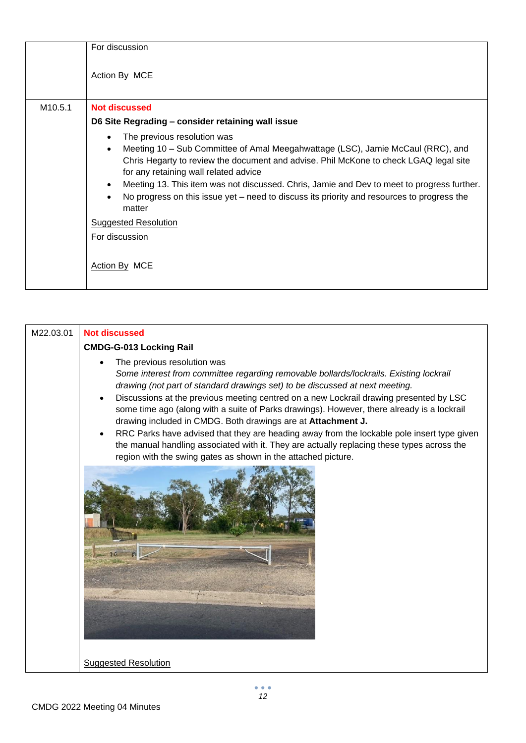|                     | For discussion                                                                                                                                                                                                                                                                                                                                                                                                                                         |
|---------------------|--------------------------------------------------------------------------------------------------------------------------------------------------------------------------------------------------------------------------------------------------------------------------------------------------------------------------------------------------------------------------------------------------------------------------------------------------------|
|                     | Action By MCE                                                                                                                                                                                                                                                                                                                                                                                                                                          |
| M <sub>10.5.1</sub> | <b>Not discussed</b>                                                                                                                                                                                                                                                                                                                                                                                                                                   |
|                     | D6 Site Regrading - consider retaining wall issue                                                                                                                                                                                                                                                                                                                                                                                                      |
|                     | The previous resolution was<br>Meeting 10 – Sub Committee of Amal Meegahwattage (LSC), Jamie McCaul (RRC), and<br>Chris Hegarty to review the document and advise. Phil McKone to check LGAQ legal site<br>for any retaining wall related advice<br>Meeting 13. This item was not discussed. Chris, Jamie and Dev to meet to progress further.<br>No progress on this issue yet – need to discuss its priority and resources to progress the<br>matter |
|                     | <b>Suggested Resolution</b>                                                                                                                                                                                                                                                                                                                                                                                                                            |
|                     | For discussion<br>Action By MCE                                                                                                                                                                                                                                                                                                                                                                                                                        |

| M22.03.01 | <b>Not discussed</b>                                                                                                                                                                                                                                                                                                                                                                                                                                                                                                                                                                                                                                                                                                       |
|-----------|----------------------------------------------------------------------------------------------------------------------------------------------------------------------------------------------------------------------------------------------------------------------------------------------------------------------------------------------------------------------------------------------------------------------------------------------------------------------------------------------------------------------------------------------------------------------------------------------------------------------------------------------------------------------------------------------------------------------------|
|           | <b>CMDG-G-013 Locking Rail</b>                                                                                                                                                                                                                                                                                                                                                                                                                                                                                                                                                                                                                                                                                             |
|           | The previous resolution was<br>Some interest from committee regarding removable bollards/lockrails. Existing lockrail<br>drawing (not part of standard drawings set) to be discussed at next meeting.<br>Discussions at the previous meeting centred on a new Lockrail drawing presented by LSC<br>some time ago (along with a suite of Parks drawings). However, there already is a lockrail<br>drawing included in CMDG. Both drawings are at Attachment J.<br>RRC Parks have advised that they are heading away from the lockable pole insert type given<br>the manual handling associated with it. They are actually replacing these types across the<br>region with the swing gates as shown in the attached picture. |
|           | <b>Suggested Resolution</b>                                                                                                                                                                                                                                                                                                                                                                                                                                                                                                                                                                                                                                                                                                |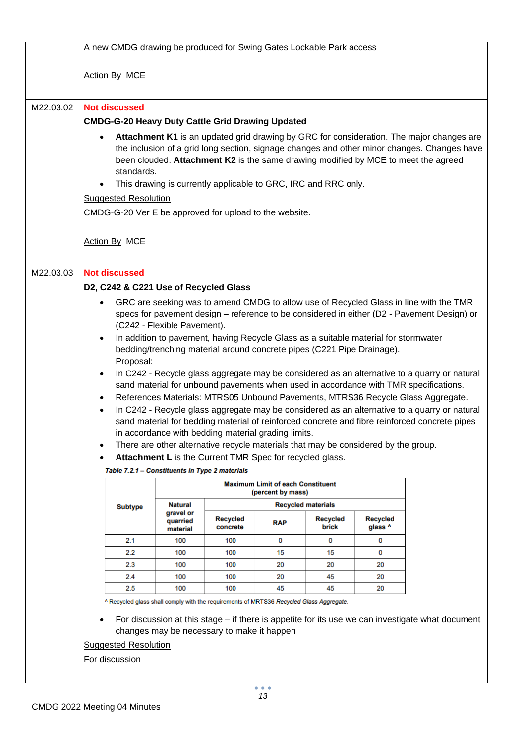|           | A new CMDG drawing be produced for Swing Gates Lockable Park access                                                                                                                                                                                                                                                                                                                                                                                                                                                                                                                                                                                                                                                                                                                                                                                                                                                                                                                                                                                                                                                                                                                                                                                          |                                   |                                                   |                                                               |                           |                            |                                                                                                  |  |
|-----------|--------------------------------------------------------------------------------------------------------------------------------------------------------------------------------------------------------------------------------------------------------------------------------------------------------------------------------------------------------------------------------------------------------------------------------------------------------------------------------------------------------------------------------------------------------------------------------------------------------------------------------------------------------------------------------------------------------------------------------------------------------------------------------------------------------------------------------------------------------------------------------------------------------------------------------------------------------------------------------------------------------------------------------------------------------------------------------------------------------------------------------------------------------------------------------------------------------------------------------------------------------------|-----------------------------------|---------------------------------------------------|---------------------------------------------------------------|---------------------------|----------------------------|--------------------------------------------------------------------------------------------------|--|
|           | Action By MCE                                                                                                                                                                                                                                                                                                                                                                                                                                                                                                                                                                                                                                                                                                                                                                                                                                                                                                                                                                                                                                                                                                                                                                                                                                                |                                   |                                                   |                                                               |                           |                            |                                                                                                  |  |
| M22.03.02 | <b>Not discussed</b>                                                                                                                                                                                                                                                                                                                                                                                                                                                                                                                                                                                                                                                                                                                                                                                                                                                                                                                                                                                                                                                                                                                                                                                                                                         |                                   |                                                   |                                                               |                           |                            |                                                                                                  |  |
|           | <b>CMDG-G-20 Heavy Duty Cattle Grid Drawing Updated</b>                                                                                                                                                                                                                                                                                                                                                                                                                                                                                                                                                                                                                                                                                                                                                                                                                                                                                                                                                                                                                                                                                                                                                                                                      |                                   |                                                   |                                                               |                           |                            |                                                                                                  |  |
|           | Attachment K1 is an updated grid drawing by GRC for consideration. The major changes are<br>٠<br>the inclusion of a grid long section, signage changes and other minor changes. Changes have<br>been clouded. Attachment K2 is the same drawing modified by MCE to meet the agreed<br>standards.<br>This drawing is currently applicable to GRC, IRC and RRC only.<br>$\bullet$<br><b>Suggested Resolution</b><br>CMDG-G-20 Ver E be approved for upload to the website.<br>Action By MCE                                                                                                                                                                                                                                                                                                                                                                                                                                                                                                                                                                                                                                                                                                                                                                    |                                   |                                                   |                                                               |                           |                            |                                                                                                  |  |
|           |                                                                                                                                                                                                                                                                                                                                                                                                                                                                                                                                                                                                                                                                                                                                                                                                                                                                                                                                                                                                                                                                                                                                                                                                                                                              |                                   |                                                   |                                                               |                           |                            |                                                                                                  |  |
| M22.03.03 | <b>Not discussed</b><br>D2, C242 & C221 Use of Recycled Glass<br>GRC are seeking was to amend CMDG to allow use of Recycled Glass in line with the TMR<br>$\bullet$<br>specs for pavement design - reference to be considered in either (D2 - Pavement Design) or<br>(C242 - Flexible Pavement).<br>In addition to pavement, having Recycle Glass as a suitable material for stormwater<br>$\bullet$<br>bedding/trenching material around concrete pipes (C221 Pipe Drainage).<br>Proposal:<br>In C242 - Recycle glass aggregate may be considered as an alternative to a quarry or natural<br>$\bullet$<br>sand material for unbound pavements when used in accordance with TMR specifications.<br>References Materials: MTRS05 Unbound Pavements, MTRS36 Recycle Glass Aggregate.<br>In C242 - Recycle glass aggregate may be considered as an alternative to a quarry or natural<br>$\bullet$<br>sand material for bedding material of reinforced concrete and fibre reinforced concrete pipes<br>in accordance with bedding material grading limits.<br>There are other alternative recycle materials that may be considered by the group.<br>Attachment L is the Current TMR Spec for recycled glass.<br>Table 7.2.1 - Constituents in Type 2 materials |                                   |                                                   |                                                               |                           |                            |                                                                                                  |  |
|           |                                                                                                                                                                                                                                                                                                                                                                                                                                                                                                                                                                                                                                                                                                                                                                                                                                                                                                                                                                                                                                                                                                                                                                                                                                                              |                                   |                                                   | <b>Maximum Limit of each Constituent</b><br>(percent by mass) |                           |                            |                                                                                                  |  |
|           | <b>Subtype</b>                                                                                                                                                                                                                                                                                                                                                                                                                                                                                                                                                                                                                                                                                                                                                                                                                                                                                                                                                                                                                                                                                                                                                                                                                                               | <b>Natural</b>                    |                                                   |                                                               | <b>Recycled materials</b> |                            |                                                                                                  |  |
|           |                                                                                                                                                                                                                                                                                                                                                                                                                                                                                                                                                                                                                                                                                                                                                                                                                                                                                                                                                                                                                                                                                                                                                                                                                                                              | gravel or<br>quarried<br>material | <b>Recycled</b><br>concrete                       | RAP                                                           | <b>Recycled</b><br>brick  | <b>Recycled</b><br>glass ^ |                                                                                                  |  |
|           | 2.1                                                                                                                                                                                                                                                                                                                                                                                                                                                                                                                                                                                                                                                                                                                                                                                                                                                                                                                                                                                                                                                                                                                                                                                                                                                          | 100                               | 100                                               | 0                                                             | 0                         | 0                          |                                                                                                  |  |
|           | 2.2                                                                                                                                                                                                                                                                                                                                                                                                                                                                                                                                                                                                                                                                                                                                                                                                                                                                                                                                                                                                                                                                                                                                                                                                                                                          | 100                               | 100                                               | 15                                                            | 15                        | 0                          |                                                                                                  |  |
|           | 2.3                                                                                                                                                                                                                                                                                                                                                                                                                                                                                                                                                                                                                                                                                                                                                                                                                                                                                                                                                                                                                                                                                                                                                                                                                                                          | 100                               | 100                                               | 20                                                            | 20                        | 20                         |                                                                                                  |  |
|           | 2.4                                                                                                                                                                                                                                                                                                                                                                                                                                                                                                                                                                                                                                                                                                                                                                                                                                                                                                                                                                                                                                                                                                                                                                                                                                                          | 100                               | 100                                               | 20                                                            | 45                        | 20                         |                                                                                                  |  |
|           | $2.5\,$<br>^ Recycled glass shall comply with the requirements of MRTS36 Recycled Glass Aggregate.<br><b>Suggested Resolution</b><br>For discussion                                                                                                                                                                                                                                                                                                                                                                                                                                                                                                                                                                                                                                                                                                                                                                                                                                                                                                                                                                                                                                                                                                          | 100                               | 100<br>changes may be necessary to make it happen | 45                                                            | 45                        | 20                         | For discussion at this stage – if there is appetite for its use we can investigate what document |  |
|           |                                                                                                                                                                                                                                                                                                                                                                                                                                                                                                                                                                                                                                                                                                                                                                                                                                                                                                                                                                                                                                                                                                                                                                                                                                                              |                                   |                                                   |                                                               |                           |                            |                                                                                                  |  |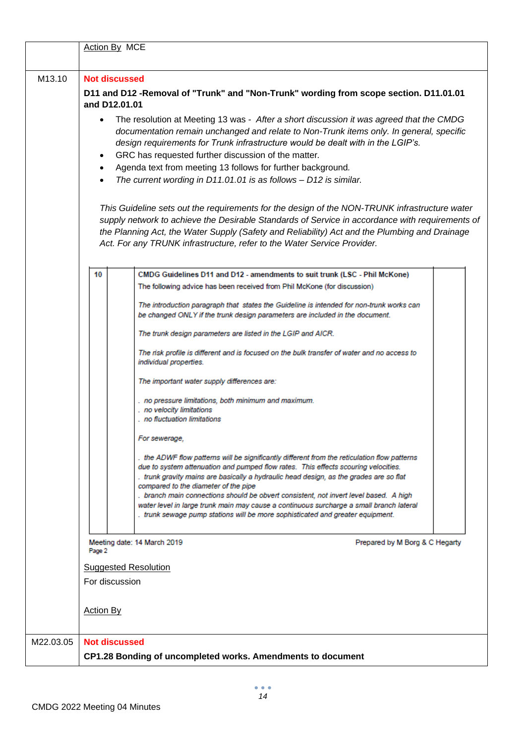|           | Action By MCE                                                                                                                                                                                                                                                                                                                                                                                                                                                                                          |  |  |  |  |  |  |  |
|-----------|--------------------------------------------------------------------------------------------------------------------------------------------------------------------------------------------------------------------------------------------------------------------------------------------------------------------------------------------------------------------------------------------------------------------------------------------------------------------------------------------------------|--|--|--|--|--|--|--|
| M13.10    | <b>Not discussed</b><br>D11 and D12 -Removal of "Trunk" and "Non-Trunk" wording from scope section. D11.01.01<br>and D12.01.01                                                                                                                                                                                                                                                                                                                                                                         |  |  |  |  |  |  |  |
|           | The resolution at Meeting 13 was - After a short discussion it was agreed that the CMDG<br>$\bullet$<br>documentation remain unchanged and relate to Non-Trunk items only. In general, specific<br>design requirements for Trunk infrastructure would be dealt with in the LGIP's.<br>GRC has requested further discussion of the matter.<br>Agenda text from meeting 13 follows for further background.<br>The current wording in D11.01.01 is as follows - D12 is similar.                           |  |  |  |  |  |  |  |
|           | This Guideline sets out the requirements for the design of the NON-TRUNK infrastructure water<br>supply network to achieve the Desirable Standards of Service in accordance with requirements of<br>the Planning Act, the Water Supply (Safety and Reliability) Act and the Plumbing and Drainage<br>Act. For any TRUNK infrastructure, refer to the Water Service Provider.                                                                                                                           |  |  |  |  |  |  |  |
|           | 10<br>CMDG Guidelines D11 and D12 - amendments to suit trunk (LSC - Phil McKone)                                                                                                                                                                                                                                                                                                                                                                                                                       |  |  |  |  |  |  |  |
|           | The following advice has been received from Phil McKone (for discussion)                                                                                                                                                                                                                                                                                                                                                                                                                               |  |  |  |  |  |  |  |
|           | The introduction paragraph that states the Guideline is intended for non-trunk works can<br>be changed ONLY if the trunk design parameters are included in the document.                                                                                                                                                                                                                                                                                                                               |  |  |  |  |  |  |  |
|           | The trunk design parameters are listed in the LGIP and AICR.                                                                                                                                                                                                                                                                                                                                                                                                                                           |  |  |  |  |  |  |  |
|           | The risk profile is different and is focused on the bulk transfer of water and no access to<br>individual properties.                                                                                                                                                                                                                                                                                                                                                                                  |  |  |  |  |  |  |  |
|           | The important water supply differences are:                                                                                                                                                                                                                                                                                                                                                                                                                                                            |  |  |  |  |  |  |  |
|           | . no pressure limitations, both minimum and maximum.<br>. no velocity limitations                                                                                                                                                                                                                                                                                                                                                                                                                      |  |  |  |  |  |  |  |
|           | no fluctuation limitations                                                                                                                                                                                                                                                                                                                                                                                                                                                                             |  |  |  |  |  |  |  |
|           | For sewerage,                                                                                                                                                                                                                                                                                                                                                                                                                                                                                          |  |  |  |  |  |  |  |
|           | . the ADWF flow patterns will be significantly different from the reticulation flow patterns<br>due to system attenuation and pumped flow rates. This effects scouring velocities.<br>trunk gravity mains are basically a hydraulic head design, as the grades are so flat<br>compared to the diameter of the pipe<br>. branch main connections should be obvert consistent, not invert level based. A high<br>water level in large trunk main may cause a continuous surcharge a small branch lateral |  |  |  |  |  |  |  |
|           | . trunk sewage pump stations will be more sophisticated and greater equipment.                                                                                                                                                                                                                                                                                                                                                                                                                         |  |  |  |  |  |  |  |
|           | Prepared by M Borg & C Hegarty<br>Meeting date: 14 March 2019<br>Page 2                                                                                                                                                                                                                                                                                                                                                                                                                                |  |  |  |  |  |  |  |
|           | <b>Suggested Resolution</b>                                                                                                                                                                                                                                                                                                                                                                                                                                                                            |  |  |  |  |  |  |  |
|           | For discussion                                                                                                                                                                                                                                                                                                                                                                                                                                                                                         |  |  |  |  |  |  |  |
|           | <b>Action By</b>                                                                                                                                                                                                                                                                                                                                                                                                                                                                                       |  |  |  |  |  |  |  |
| M22.03.05 | <b>Not discussed</b>                                                                                                                                                                                                                                                                                                                                                                                                                                                                                   |  |  |  |  |  |  |  |
|           | CP1.28 Bonding of uncompleted works. Amendments to document                                                                                                                                                                                                                                                                                                                                                                                                                                            |  |  |  |  |  |  |  |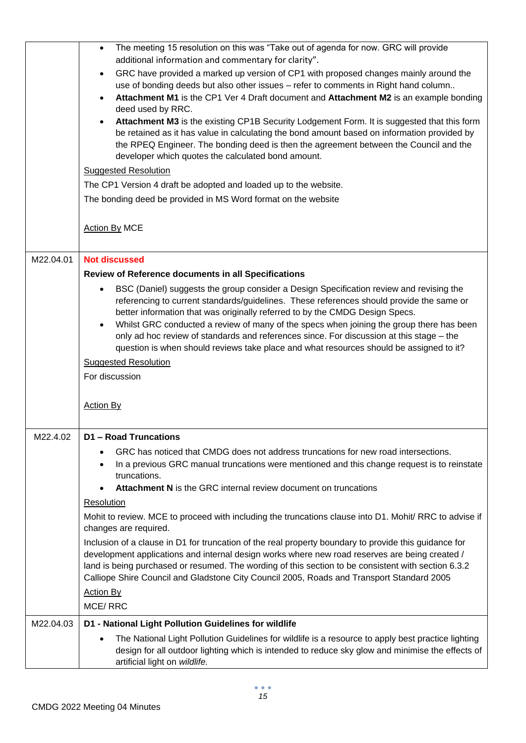|           | The meeting 15 resolution on this was "Take out of agenda for now. GRC will provide<br>$\bullet$                                                                                                       |
|-----------|--------------------------------------------------------------------------------------------------------------------------------------------------------------------------------------------------------|
|           | additional information and commentary for clarity".                                                                                                                                                    |
|           | GRC have provided a marked up version of CP1 with proposed changes mainly around the<br>$\bullet$                                                                                                      |
|           | use of bonding deeds but also other issues - refer to comments in Right hand column                                                                                                                    |
|           | Attachment M1 is the CP1 Ver 4 Draft document and Attachment M2 is an example bonding                                                                                                                  |
|           | deed used by RRC.                                                                                                                                                                                      |
|           | Attachment M3 is the existing CP1B Security Lodgement Form. It is suggested that this form<br>$\bullet$                                                                                                |
|           | be retained as it has value in calculating the bond amount based on information provided by                                                                                                            |
|           | the RPEQ Engineer. The bonding deed is then the agreement between the Council and the                                                                                                                  |
|           | developer which quotes the calculated bond amount.                                                                                                                                                     |
|           | <b>Suggested Resolution</b>                                                                                                                                                                            |
|           | The CP1 Version 4 draft be adopted and loaded up to the website.                                                                                                                                       |
|           | The bonding deed be provided in MS Word format on the website                                                                                                                                          |
|           |                                                                                                                                                                                                        |
|           |                                                                                                                                                                                                        |
|           | <b>Action By MCE</b>                                                                                                                                                                                   |
|           |                                                                                                                                                                                                        |
| M22.04.01 | <b>Not discussed</b>                                                                                                                                                                                   |
|           | Review of Reference documents in all Specifications                                                                                                                                                    |
|           | BSC (Daniel) suggests the group consider a Design Specification review and revising the<br>$\bullet$                                                                                                   |
|           | referencing to current standards/guidelines. These references should provide the same or                                                                                                               |
|           | better information that was originally referred to by the CMDG Design Specs.                                                                                                                           |
|           | Whilst GRC conducted a review of many of the specs when joining the group there has been<br>$\bullet$                                                                                                  |
|           | only ad hoc review of standards and references since. For discussion at this stage - the                                                                                                               |
|           | question is when should reviews take place and what resources should be assigned to it?                                                                                                                |
|           | <b>Suggested Resolution</b>                                                                                                                                                                            |
|           | For discussion                                                                                                                                                                                         |
|           |                                                                                                                                                                                                        |
|           | <b>Action By</b>                                                                                                                                                                                       |
|           |                                                                                                                                                                                                        |
|           |                                                                                                                                                                                                        |
| M22.4.02  | <b>D1-Road Truncations</b>                                                                                                                                                                             |
|           | GRC has noticed that CMDG does not address truncations for new road intersections.                                                                                                                     |
|           | In a previous GRC manual truncations were mentioned and this change request is to reinstate                                                                                                            |
|           | truncations.                                                                                                                                                                                           |
|           | Attachment N is the GRC internal review document on truncations                                                                                                                                        |
|           | Resolution                                                                                                                                                                                             |
|           | Mohit to review. MCE to proceed with including the truncations clause into D1. Mohit/ RRC to advise if                                                                                                 |
|           | changes are required.                                                                                                                                                                                  |
|           | Inclusion of a clause in D1 for truncation of the real property boundary to provide this guidance for                                                                                                  |
|           | development applications and internal design works where new road reserves are being created /                                                                                                         |
|           | land is being purchased or resumed. The wording of this section to be consistent with section 6.3.2                                                                                                    |
|           | Calliope Shire Council and Gladstone City Council 2005, Roads and Transport Standard 2005                                                                                                              |
|           | <b>Action By</b>                                                                                                                                                                                       |
|           | <b>MCE/RRC</b>                                                                                                                                                                                         |
| M22.04.03 | D1 - National Light Pollution Guidelines for wildlife                                                                                                                                                  |
|           |                                                                                                                                                                                                        |
|           |                                                                                                                                                                                                        |
|           | The National Light Pollution Guidelines for wildlife is a resource to apply best practice lighting<br>design for all outdoor lighting which is intended to reduce sky glow and minimise the effects of |